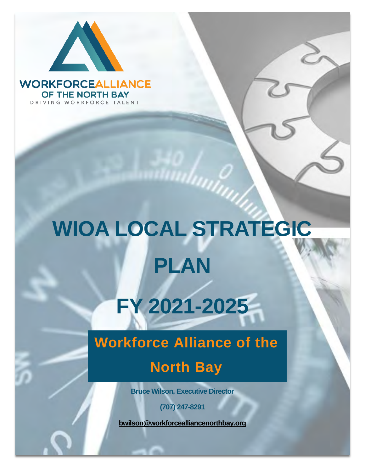

**WORKFORCEALLIANCE** OF THE NORTH BAY DRIVING WORKFORCE TALENT

# **WIOA LOCAL STRATEGIC PLAN**

# **FY 2021-2025**

# **Workforce Alliance of the**

# **North Bay**

**Bruce Wilson, Executive Director**

**(707) 247-8291**

**[bwilson@workforcealliancenorthbay.org](mailto:bwilson@workforcealliancenorthbay.org)**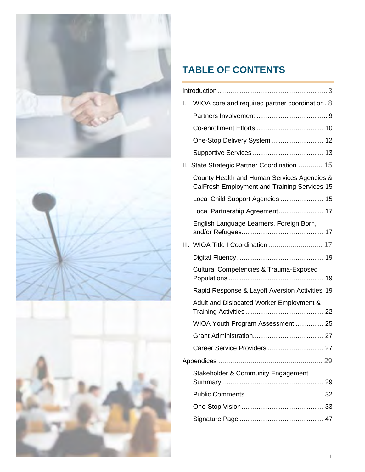



# **TABLE OF CONTENTS**

| WIOA core and required partner coordination. 8<br>I.                                        |
|---------------------------------------------------------------------------------------------|
|                                                                                             |
|                                                                                             |
| One-Stop Delivery System  12                                                                |
|                                                                                             |
| II. State Strategic Partner Coordination  15                                                |
| County Health and Human Services Agencies &<br>CalFresh Employment and Training Services 15 |
| Local Child Support Agencies  15                                                            |
| Local Partnership Agreement 17                                                              |
| English Language Learners, Foreign Born,                                                    |
| III. WIOA Title I Coordination  17                                                          |
|                                                                                             |
| <b>Cultural Competencies &amp; Trauma-Exposed</b>                                           |
| Rapid Response & Layoff Aversion Activities 19                                              |
| Adult and Dislocated Worker Employment &                                                    |
| WIOA Youth Program Assessment  25                                                           |
|                                                                                             |
|                                                                                             |
|                                                                                             |
| <b>Stakeholder &amp; Community Engagement</b>                                               |
|                                                                                             |
|                                                                                             |
|                                                                                             |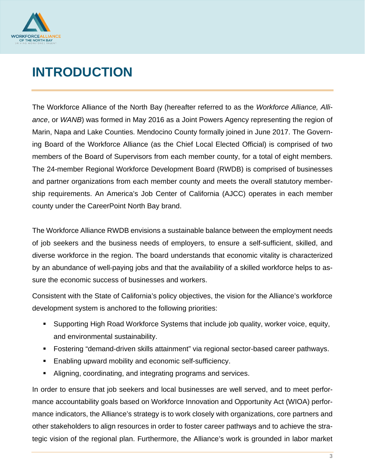

# <span id="page-2-0"></span>**INTRODUCTION**

The Workforce Alliance of the North Bay (hereafter referred to as the *Workforce Alliance, Alliance*, or *WANB*) was formed in May 2016 as a Joint Powers Agency representing the region of Marin, Napa and Lake Counties. Mendocino County formally joined in June 2017. The Governing Board of the Workforce Alliance (as the Chief Local Elected Official) is comprised of two members of the Board of Supervisors from each member county, for a total of eight members. The 24-member Regional Workforce Development Board (RWDB) is comprised of businesses and partner organizations from each member county and meets the overall statutory membership requirements. An America's Job Center of California (AJCC) operates in each member county under the CareerPoint North Bay brand.

The Workforce Alliance RWDB envisions a sustainable balance between the employment needs of job seekers and the business needs of employers, to ensure a self-sufficient, skilled, and diverse workforce in the region. The board understands that economic vitality is characterized by an abundance of well-paying jobs and that the availability of a skilled workforce helps to assure the economic success of businesses and workers.

Consistent with the State of California's policy objectives, the vision for the Alliance's workforce development system is anchored to the following priorities:

- Supporting High Road Workforce Systems that include job quality, worker voice, equity, and environmental sustainability.
- Fostering "demand-driven skills attainment" via regional sector-based career pathways.
- Enabling upward mobility and economic self-sufficiency.
- Aligning, coordinating, and integrating programs and services.

In order to ensure that job seekers and local businesses are well served, and to meet performance accountability goals based on Workforce Innovation and Opportunity Act (WIOA) performance indicators, the Alliance's strategy is to work closely with organizations, core partners and other stakeholders to align resources in order to foster career pathways and to achieve the strategic vision of the regional plan. Furthermore, the Alliance's work is grounded in labor market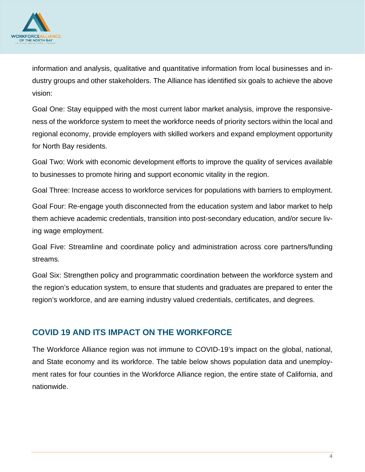

information and analysis, qualitative and quantitative information from local businesses and industry groups and other stakeholders. The Alliance has identified six goals to achieve the above vision:

Goal One: Stay equipped with the most current labor market analysis, improve the responsiveness of the workforce system to meet the workforce needs of priority sectors within the local and regional economy, provide employers with skilled workers and expand employment opportunity for North Bay residents.

Goal Two: Work with economic development efforts to improve the quality of services available to businesses to promote hiring and support economic vitality in the region.

Goal Three: Increase access to workforce services for populations with barriers to employment.

Goal Four: Re-engage youth disconnected from the education system and labor market to help them achieve academic credentials, transition into post-secondary education, and/or secure living wage employment.

Goal Five: Streamline and coordinate policy and administration across core partners/funding streams.

Goal Six: Strengthen policy and programmatic coordination between the workforce system and the region's education system, to ensure that students and graduates are prepared to enter the region's workforce, and are earning industry valued credentials, certificates, and degrees.

#### **COVID 19 AND ITS IMPACT ON THE WORKFORCE**

The Workforce Alliance region was not immune to COVID-19's impact on the global, national, and State economy and its workforce. The table below shows population data and unemployment rates for four counties in the Workforce Alliance region, the entire state of California, and nationwide.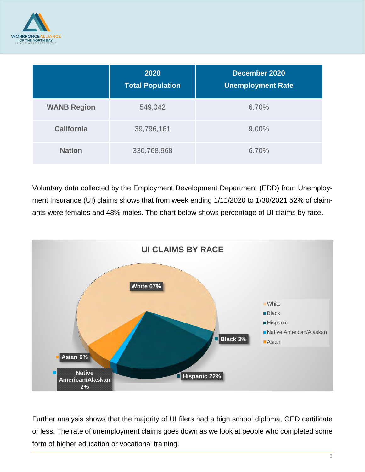

|                    | 2020<br><b>Total Population</b> | December 2020<br><b>Unemployment Rate</b> |
|--------------------|---------------------------------|-------------------------------------------|
| <b>WANB Region</b> | 549,042                         | 6.70%                                     |
| <b>California</b>  | 39,796,161                      | 9.00%                                     |
| <b>Nation</b>      | 330,768,968                     | 6.70%                                     |

Voluntary data collected by the Employment Development Department (EDD) from Unemployment Insurance (UI) claims shows that from week ending 1/11/2020 to 1/30/2021 52% of claimants were females and 48% males. The chart below shows percentage of UI claims by race.



Further analysis shows that the majority of UI filers had a high school diploma, GED certificate or less. The rate of unemployment claims goes down as we look at people who completed some form of higher education or vocational training.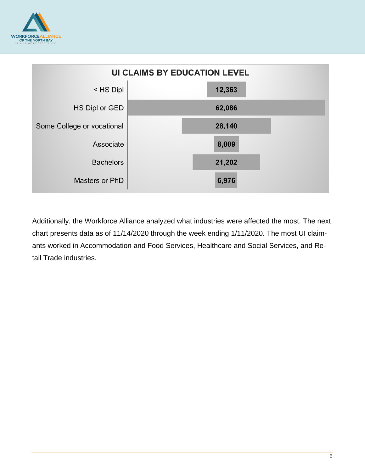



Additionally, the Workforce Alliance analyzed what industries were affected the most. The next chart presents data as of 11/14/2020 through the week ending 1/11/2020. The most UI claimants worked in Accommodation and Food Services, Healthcare and Social Services, and Retail Trade industries.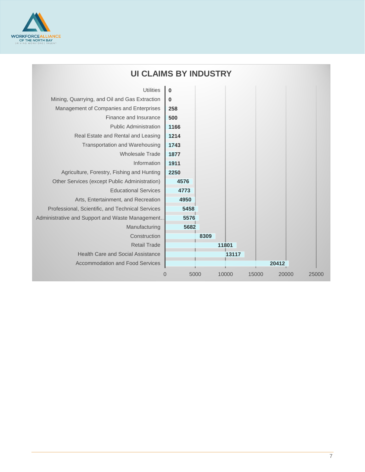

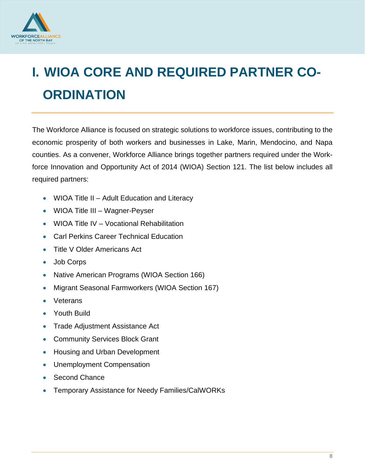

# <span id="page-7-0"></span>**I. WIOA CORE AND REQUIRED PARTNER CO-ORDINATION**

The Workforce Alliance is focused on strategic solutions to workforce issues, contributing to the economic prosperity of both workers and businesses in Lake, Marin, Mendocino, and Napa counties. As a convener, Workforce Alliance brings together partners required under the Workforce Innovation and Opportunity Act of 2014 (WIOA) Section 121. The list below includes all required partners:

- WIOA Title II Adult Education and Literacy
- WIOA Title III Wagner-Peyser
- WIOA Title IV Vocational Rehabilitation
- Carl Perkins Career Technical Education
- Title V Older Americans Act
- Job Corps
- Native American Programs (WIOA Section 166)
- Migrant Seasonal Farmworkers (WIOA Section 167)
- **Veterans**
- Youth Build
- Trade Adjustment Assistance Act
- Community Services Block Grant
- Housing and Urban Development
- Unemployment Compensation
- Second Chance
- Temporary Assistance for Needy Families/CalWORKs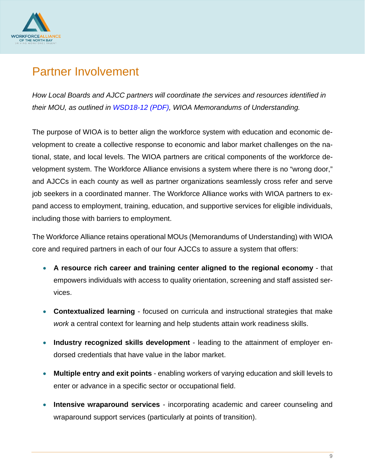

# <span id="page-8-0"></span>Partner Involvement

*How Local Boards and AJCC partners will coordinate the services and resources identified in their MOU, as outlined in WSD18-12 (PDF), WIOA Memorandums of Understanding.* 

The purpose of WIOA is to better align the workforce system with education and economic development to create a collective response to economic and labor market challenges on the national, state, and local levels. The WIOA partners are critical components of the workforce development system. The Workforce Alliance envisions a system where there is no "wrong door," and AJCCs in each county as well as partner organizations seamlessly cross refer and serve job seekers in a coordinated manner. The Workforce Alliance works with WIOA partners to expand access to employment, training, education, and supportive services for eligible individuals, including those with barriers to employment.

The Workforce Alliance retains operational MOUs (Memorandums of Understanding) with WIOA core and required partners in each of our four AJCCs to assure a system that offers:

- **A resource rich career and training center aligned to the regional economy** that empowers individuals with access to quality orientation, screening and staff assisted services.
- **Contextualized learning** focused on curricula and instructional strategies that make *work* a central context for learning and help students attain work readiness skills.
- **Industry recognized skills development**  leading to the attainment of employer endorsed credentials that have value in the labor market.
- **Multiple entry and exit points** enabling workers of varying education and skill levels to enter or advance in a specific sector or occupational field.
- **Intensive wraparound services** incorporating academic and career counseling and wraparound support services (particularly at points of transition).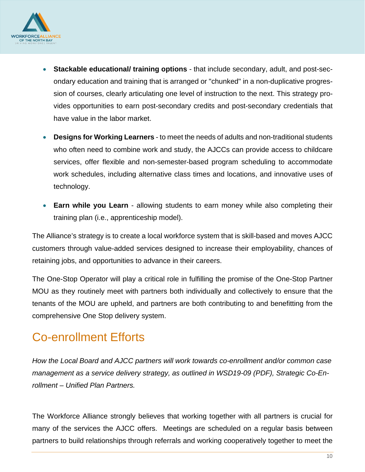

- **Stackable educational/ training options**  that include secondary, adult, and post-secondary education and training that is arranged or "chunked" in a non-duplicative progression of courses, clearly articulating one level of instruction to the next. This strategy provides opportunities to earn post-secondary credits and post-secondary credentials that have value in the labor market.
- **Designs for Working Learners** to meet the needs of adults and non-traditional students who often need to combine work and study, the AJCCs can provide access to childcare services, offer flexible and non-semester-based program scheduling to accommodate work schedules, including alternative class times and locations, and innovative uses of technology.
- **Earn while you Learn** allowing students to earn money while also completing their training plan (i.e., apprenticeship model).

The Alliance's strategy is to create a local workforce system that is skill-based and moves AJCC customers through value-added services designed to increase their employability, chances of retaining jobs, and opportunities to advance in their careers.

The One-Stop Operator will play a critical role in fulfilling the promise of the One-Stop Partner MOU as they routinely meet with partners both individually and collectively to ensure that the tenants of the MOU are upheld, and partners are both contributing to and benefitting from the comprehensive One Stop delivery system.

# <span id="page-9-0"></span>Co-enrollment Efforts

*How the Local Board and AJCC partners will work towards co-enrollment and/or common case management as a service delivery strategy, as outlined in WSD19-09 (PDF), Strategic Co-Enrollment – Unified Plan Partners.* 

The Workforce Alliance strongly believes that working together with all partners is crucial for many of the services the AJCC offers. Meetings are scheduled on a regular basis between partners to build relationships through referrals and working cooperatively together to meet the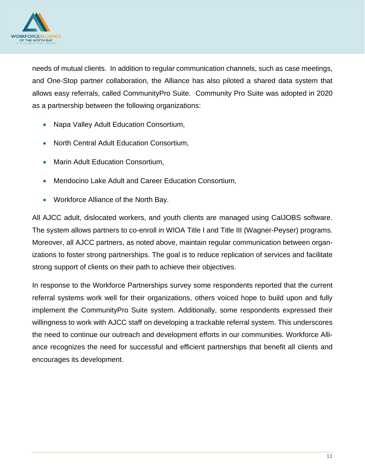

needs of mutual clients. In addition to regular communication channels, such as case meetings, and One-Stop partner collaboration, the Alliance has also piloted a shared data system that allows easy referrals, called CommunityPro Suite. Community Pro Suite was adopted in 2020 as a partnership between the following organizations:

- Napa Valley Adult Education Consortium,
- North Central Adult Education Consortium,
- Marin Adult Education Consortium,
- Mendocino Lake Adult and Career Education Consortium,
- Workforce Alliance of the North Bay.

All AJCC adult, dislocated workers, and youth clients are managed using CalJOBS software. The system allows partners to co-enroll in WIOA Title I and Title III (Wagner-Peyser) programs. Moreover, all AJCC partners, as noted above, maintain regular communication between organizations to foster strong partnerships. The goal is to reduce replication of services and facilitate strong support of clients on their path to achieve their objectives.

In response to the Workforce Partnerships survey some respondents reported that the current referral systems work well for their organizations, others voiced hope to build upon and fully implement the CommunityPro Suite system. Additionally, some respondents expressed their willingness to work with AJCC staff on developing a trackable referral system. This underscores the need to continue our outreach and development efforts in our communities. Workforce Alliance recognizes the need for successful and efficient partnerships that benefit all clients and encourages its development.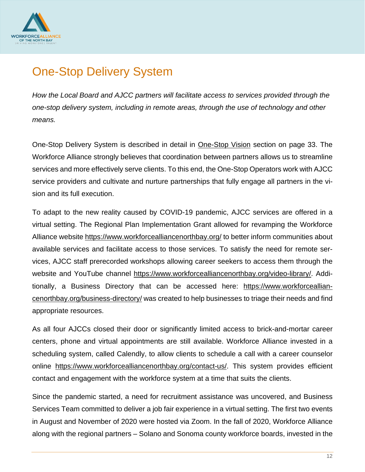

# <span id="page-11-0"></span>One-Stop Delivery System

*How the Local Board and AJCC partners will facilitate access to services provided through the one-stop delivery system, including in remote areas, through the use of technology and other means.* 

One-Stop Delivery System is described in detail in One-Stop Vision section on page 33. The Workforce Alliance strongly believes that coordination between partners allows us to streamline services and more effectively serve clients. To this end, the One-Stop Operators work with AJCC service providers and cultivate and nurture partnerships that fully engage all partners in the vision and its full execution.

To adapt to the new reality caused by COVID-19 pandemic, AJCC services are offered in a virtual setting. The Regional Plan Implementation Grant allowed for revamping the Workforce Alliance website<https://www.workforcealliancenorthbay.org/> to better inform communities about available services and facilitate access to those services. To satisfy the need for remote services, AJCC staff prerecorded workshops allowing career seekers to access them through the website and YouTube channel [https://www.workforcealliancenorthbay.org/video-library/.](https://www.workforcealliancenorthbay.org/video-library/) Additionally, a Business Directory that can be accessed here: [https://www.workforceallian](https://www.workforcealliancenorthbay.org/business-directory/)[cenorthbay.org/business-directory/](https://www.workforcealliancenorthbay.org/business-directory/) was created to help businesses to triage their needs and find appropriate resources.

As all four AJCCs closed their door or significantly limited access to brick-and-mortar career centers, phone and virtual appointments are still available. Workforce Alliance invested in a scheduling system, called Calendly, to allow clients to schedule a call with a career counselor online [https://www.workforcealliancenorthbay.org/contact-us/.](https://www.workforcealliancenorthbay.org/contact-us/) This system provides efficient contact and engagement with the workforce system at a time that suits the clients.

Since the pandemic started, a need for recruitment assistance was uncovered, and Business Services Team committed to deliver a job fair experience in a virtual setting. The first two events in August and November of 2020 were hosted via Zoom. In the fall of 2020, Workforce Alliance along with the regional partners – Solano and Sonoma county workforce boards, invested in the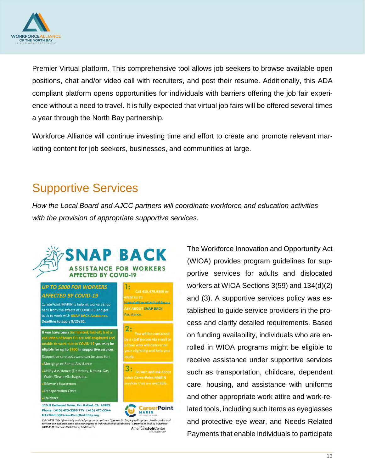

Premier Virtual platform. This comprehensive tool allows job seekers to browse available open positions, chat and/or video call with recruiters, and post their resume. Additionally, this ADA compliant platform opens opportunities for individuals with barriers offering the job fair experience without a need to travel. It is fully expected that virtual job fairs will be offered several times a year through the North Bay partnership.

Workforce Alliance will continue investing time and effort to create and promote relevant marketing content for job seekers, businesses, and communities at large.

### <span id="page-12-0"></span>Supportive Services

*How the Local Board and AJCC partners will coordinate workforce and education activities with the provision of appropriate supportive services.* 



The Workforce Innovation and Opportunity Act (WIOA) provides program guidelines for supportive services for adults and dislocated workers at WIOA Sections 3(59) and 134(d)(2) and (3). A supportive services policy was established to guide service providers in the process and clarify detailed requirements. Based on funding availability, individuals who are enrolled in WIOA programs might be eligible to receive assistance under supportive services such as transportation, childcare, dependent care, housing, and assistance with uniforms and other appropriate work attire and work-related tools, including such items as eyeglasses and protective eye wear, and Needs Related Payments that enable individuals to participate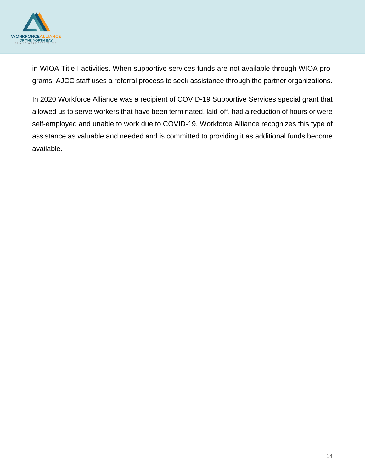

in WIOA Title I activities. When supportive services funds are not available through WIOA programs, AJCC staff uses a referral process to seek assistance through the partner organizations.

In 2020 Workforce Alliance was a recipient of COVID-19 Supportive Services special grant that allowed us to serve workers that have been terminated, laid-off, had a reduction of hours or were self-employed and unable to work due to COVID-19. Workforce Alliance recognizes this type of assistance as valuable and needed and is committed to providing it as additional funds become available.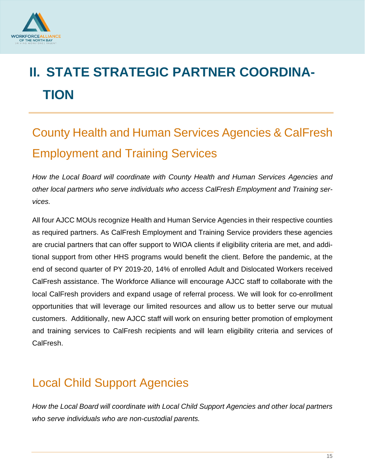

# <span id="page-14-0"></span>**II. STATE STRATEGIC PARTNER COORDINA-TION**

# <span id="page-14-1"></span>County Health and Human Services Agencies & CalFresh Employment and Training Services

*How the Local Board will coordinate with County Health and Human Services Agencies and other local partners who serve individuals who access CalFresh Employment and Training services.* 

All four AJCC MOUs recognize Health and Human Service Agencies in their respective counties as required partners. As CalFresh Employment and Training Service providers these agencies are crucial partners that can offer support to WIOA clients if eligibility criteria are met, and additional support from other HHS programs would benefit the client. Before the pandemic, at the end of second quarter of PY 2019-20, 14% of enrolled Adult and Dislocated Workers received CalFresh assistance. The Workforce Alliance will encourage AJCC staff to collaborate with the local CalFresh providers and expand usage of referral process. We will look for co-enrollment opportunities that will leverage our limited resources and allow us to better serve our mutual customers. Additionally, new AJCC staff will work on ensuring better promotion of employment and training services to CalFresh recipients and will learn eligibility criteria and services of CalFresh.

# <span id="page-14-2"></span>Local Child Support Agencies

*How the Local Board will coordinate with Local Child Support Agencies and other local partners who serve individuals who are non-custodial parents.*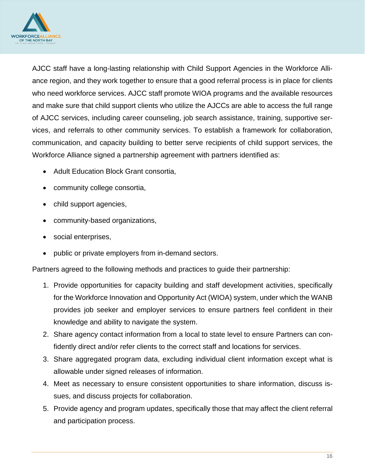

AJCC staff have a long-lasting relationship with Child Support Agencies in the Workforce Alliance region, and they work together to ensure that a good referral process is in place for clients who need workforce services. AJCC staff promote WIOA programs and the available resources and make sure that child support clients who utilize the AJCCs are able to access the full range of AJCC services, including career counseling, job search assistance, training, supportive services, and referrals to other community services. To establish a framework for collaboration, communication, and capacity building to better serve recipients of child support services, the Workforce Alliance signed a partnership agreement with partners identified as:

- Adult Education Block Grant consortia,
- community college consortia,
- child support agencies,
- community-based organizations,
- social enterprises,
- public or private employers from in-demand sectors.

Partners agreed to the following methods and practices to guide their partnership:

- 1. Provide opportunities for capacity building and staff development activities, specifically for the Workforce Innovation and Opportunity Act (WIOA) system, under which the WANB provides job seeker and employer services to ensure partners feel confident in their knowledge and ability to navigate the system.
- 2. Share agency contact information from a local to state level to ensure Partners can confidently direct and/or refer clients to the correct staff and locations for services.
- 3. Share aggregated program data, excluding individual client information except what is allowable under signed releases of information.
- 4. Meet as necessary to ensure consistent opportunities to share information, discuss issues, and discuss projects for collaboration.
- 5. Provide agency and program updates, specifically those that may affect the client referral and participation process.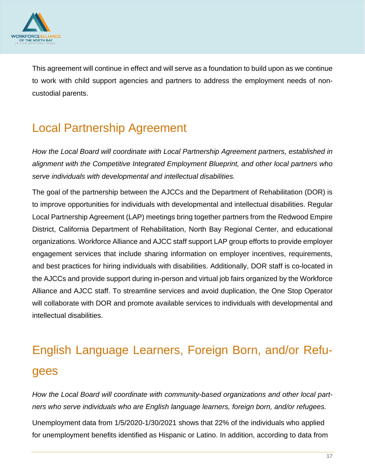

This agreement will continue in effect and will serve as a foundation to build upon as we continue to work with child support agencies and partners to address the employment needs of noncustodial parents.

# <span id="page-16-0"></span>Local Partnership Agreement

*How the Local Board will coordinate with Local Partnership Agreement partners, established in alignment with the Competitive Integrated Employment Blueprint, and other local partners who serve individuals with developmental and intellectual disabilities.*

The goal of the partnership between the AJCCs and the Department of Rehabilitation (DOR) is to improve opportunities for individuals with developmental and intellectual disabilities. Regular Local Partnership Agreement (LAP) meetings bring together partners from the Redwood Empire District, California Department of Rehabilitation, North Bay Regional Center, and educational organizations. Workforce Alliance and AJCC staff support LAP group efforts to provide employer engagement services that include sharing information on employer incentives, requirements, and best practices for hiring individuals with disabilities. Additionally, DOR staff is co-located in the AJCCs and provide support during in-person and virtual job fairs organized by the Workforce Alliance and AJCC staff. To streamline services and avoid duplication, the One Stop Operator will collaborate with DOR and promote available services to individuals with developmental and intellectual disabilities.

# <span id="page-16-1"></span>English Language Learners, Foreign Born, and/or Refugees

*How the Local Board will coordinate with community-based organizations and other local partners who serve individuals who are English language learners, foreign born, and/or refugees.*

<span id="page-16-2"></span>Unemployment data from 1/5/2020-1/30/2021 shows that 22% of the individuals who applied for unemployment benefits identified as Hispanic or Latino. In addition, according to data from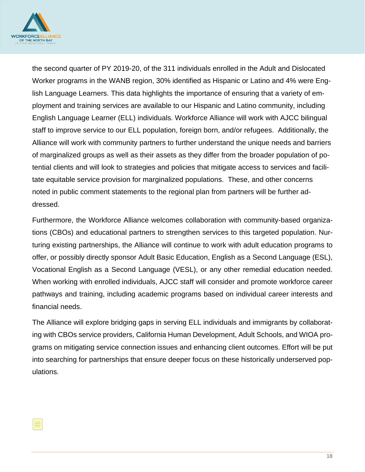

the second quarter of PY 2019-20, of the 311 individuals enrolled in the Adult and Dislocated Worker programs in the WANB region, 30% identified as Hispanic or Latino and 4% were English Language Learners. This data highlights the importance of ensuring that a variety of employment and training services are available to our Hispanic and Latino community, including English Language Learner (ELL) individuals. Workforce Alliance will work with AJCC bilingual staff to improve service to our ELL population, foreign born, and/or refugees. Additionally, the Alliance will work with community partners to further understand the unique needs and barriers of marginalized groups as well as their assets as they differ from the broader population of potential clients and will look to strategies and policies that mitigate access to services and facilitate equitable service provision for marginalized populations. These, and other concerns noted in public comment statements to the regional plan from partners will be further addressed.

Furthermore, the Workforce Alliance welcomes collaboration with community-based organizations (CBOs) and educational partners to strengthen services to this targeted population. Nurturing existing partnerships, the Alliance will continue to work with adult education programs to offer, or possibly directly sponsor Adult Basic Education, English as a Second Language (ESL), Vocational English as a Second Language (VESL), or any other remedial education needed. When working with enrolled individuals, AJCC staff will consider and promote workforce career pathways and training, including academic programs based on individual career interests and financial needs.

The Alliance will explore bridging gaps in serving ELL individuals and immigrants by collaborating with CBOs service providers, California Human Development, Adult Schools, and WIOA programs on mitigating service connection issues and enhancing client outcomes. Effort will be put into searching for partnerships that ensure deeper focus on these historically underserved populations.

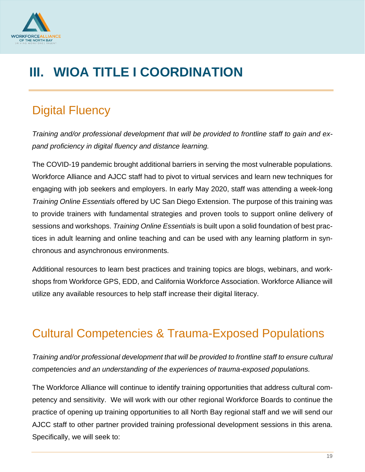

# **III. WIOA TITLE I COORDINATION**

# <span id="page-18-0"></span>Digital Fluency

*Training and/or professional development that will be provided to frontline staff to gain and expand proficiency in digital fluency and distance learning.*

The COVID-19 pandemic brought additional barriers in serving the most vulnerable populations. Workforce Alliance and AJCC staff had to pivot to virtual services and learn new techniques for engaging with job seekers and employers. In early May 2020, staff was attending a week-long *Training Online Essentials* offered by UC San Diego Extension. The purpose of this training was to provide trainers with fundamental strategies and proven tools to support online delivery of sessions and workshops. *Training Online Essentials* is built upon a solid foundation of best practices in adult learning and online teaching and can be used with any learning platform in synchronous and asynchronous environments.

Additional resources to learn best practices and training topics are blogs, webinars, and workshops from Workforce GPS, EDD, and California Workforce Association. Workforce Alliance will utilize any available resources to help staff increase their digital literacy.

# <span id="page-18-1"></span>Cultural Competencies & Trauma-Exposed Populations

*Training and/or professional development that will be provided to frontline staff to ensure cultural competencies and an understanding of the experiences of trauma-exposed populations.*

<span id="page-18-2"></span>The Workforce Alliance will continue to identify training opportunities that address cultural competency and sensitivity. We will work with our other regional Workforce Boards to continue the practice of opening up training opportunities to all North Bay regional staff and we will send our AJCC staff to other partner provided training professional development sessions in this arena. Specifically, we will seek to: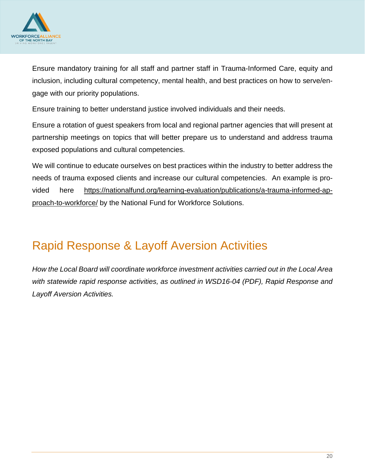

Ensure mandatory training for all staff and partner staff in Trauma-Informed Care, equity and inclusion, including cultural competency, mental health, and best practices on how to serve/engage with our priority populations.

Ensure training to better understand justice involved individuals and their needs.

Ensure a rotation of guest speakers from local and regional partner agencies that will present at partnership meetings on topics that will better prepare us to understand and address trauma exposed populations and cultural competencies.

We will continue to educate ourselves on best practices within the industry to better address the needs of trauma exposed clients and increase our cultural competencies. An example is provided here [https://nationalfund.org/learning-evaluation/publications/a-trauma-informed-ap](https://nationalfund.org/learning-evaluation/publications/a-trauma-informed-approach-to-workforce/)[proach-to-workforce/](https://nationalfund.org/learning-evaluation/publications/a-trauma-informed-approach-to-workforce/) by the National Fund for Workforce Solutions.

# Rapid Response & Layoff Aversion Activities

*How the Local Board will coordinate workforce investment activities carried out in the Local Area with statewide rapid response activities, as outlined in WSD16-04 (PDF), Rapid Response and Layoff Aversion Activities.*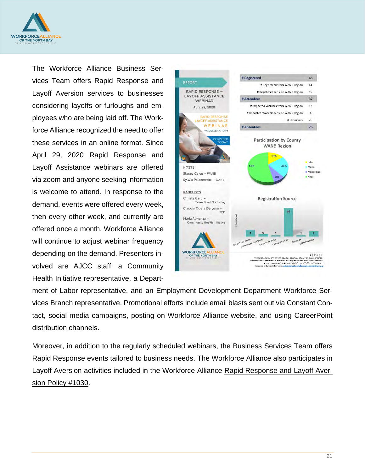

The Workforce Alliance Business Services Team offers Rapid Response and Layoff Aversion services to businesses considering layoffs or furloughs and employees who are being laid off. The Workforce Alliance recognized the need to offer these services in an online format. Since April 29, 2020 Rapid Response and Layoff Assistance webinars are offered via zoom and anyone seeking information is welcome to attend. In response to the demand, events were offered every week, then every other week, and currently are offered once a month. Workforce Alliance will continue to adjust webinar frequency depending on the demand. Presenters involved are AJCC staff, a Community Health Initiative representative, a Depart-



ment of Labor representative, and an Employment Development Department Workforce Services Branch representative. Promotional efforts include email blasts sent out via Constant Contact, social media campaigns, posting on Workforce Alliance website, and using CareerPoint distribution channels.

Moreover, in addition to the regularly scheduled webinars, the Business Services Team offers Rapid Response events tailored to business needs. The Workforce Alliance also participates in Layoff Aversion activities included in the Workforce Alliance [Rapid Response and Layoff Aver](https://2zkhmd254nmz2jprye2auttj-wpengine.netdna-ssl.com/wp-content/uploads/2021/04/30.-Rapid-Response-and-Layoff-Aversion_Approved-12.12.19.pdf)[sion Policy #1030.](https://2zkhmd254nmz2jprye2auttj-wpengine.netdna-ssl.com/wp-content/uploads/2021/04/30.-Rapid-Response-and-Layoff-Aversion_Approved-12.12.19.pdf)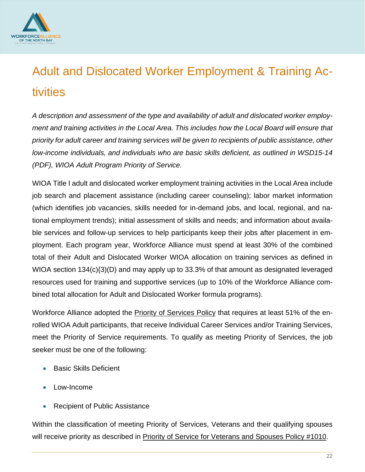

# <span id="page-21-0"></span>Adult and Dislocated Worker Employment & Training Activities

*A description and assessment of the type and availability of adult and dislocated worker employment and training activities in the Local Area. This includes how the Local Board will ensure that priority for adult career and training services will be given to recipients of public assistance, other low-income individuals, and individuals who are basic skills deficient, as outlined in WSD15-14 (PDF), WIOA Adult Program Priority of Service.*

WIOA Title I adult and dislocated worker employment training activities in the Local Area include job search and placement assistance (including career counseling); labor market information (which identifies job vacancies, skills needed for in-demand jobs, and local, regional, and national employment trends); initial assessment of skills and needs; and information about available services and follow-up services to help participants keep their jobs after placement in employment. Each program year, Workforce Alliance must spend at least 30% of the combined total of their Adult and Dislocated Worker WIOA allocation on training services as defined in WIOA section 134(c){3)(D) and may apply up to 33.3% of that amount as designated leveraged resources used for training and supportive services (up to 10% of the Workforce Alliance combined total allocation for Adult and Dislocated Worker formula programs).

Workforce Alliance adopted the **Priority of Services Policy** that requires at least 51% of the enrolled WIOA Adult participants, that receive Individual Career Services and/or Training Services, meet the Priority of Service requirements. To qualify as meeting Priority of Services, the job seeker must be one of the following:

- Basic Skills Deficient
- Low-Income
- Recipient of Public Assistance

Within the classification of meeting Priority of Services, Veterans and their qualifying spouses will receive priority as described in [Priority of Service for Veterans and Spouses Policy #1010.](https://2zkhmd254nmz2jprye2auttj-wpengine.netdna-ssl.com/wp-content/uploads/2021/04/25.-Priority-of-Service-for-Veterans-and-Spouses.pdf)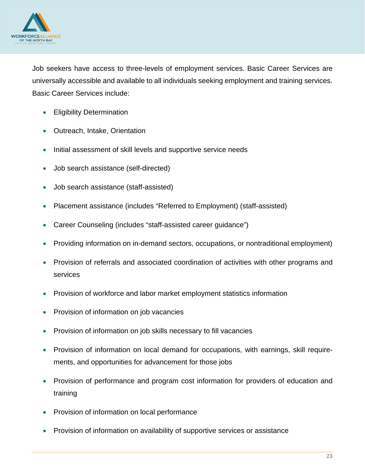

Job seekers have access to three-levels of employment services. Basic Career Services are universally accessible and available to all individuals seeking employment and training services. Basic Career Services include:

- Eligibility Determination
- Outreach, Intake, Orientation
- Initial assessment of skill levels and supportive service needs
- Job search assistance (self-directed)
- Job search assistance (staff-assisted)
- Placement assistance (includes "Referred to Employment) (staff-assisted)
- Career Counseling (includes "staff-assisted career guidance")
- Providing information on in-demand sectors, occupations, or nontraditional employment)
- Provision of referrals and associated coordination of activities with other programs and services
- Provision of workforce and labor market employment statistics information
- Provision of information on job vacancies
- Provision of information on job skills necessary to fill vacancies
- Provision of information on local demand for occupations, with earnings, skill requirements, and opportunities for advancement for those jobs
- Provision of performance and program cost information for providers of education and training
- Provision of information on local performance
- Provision of information on availability of supportive services or assistance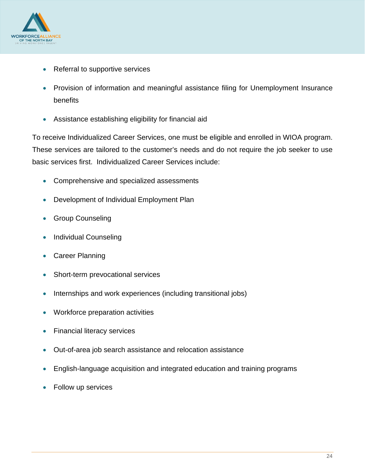

- Referral to supportive services
- Provision of information and meaningful assistance filing for Unemployment Insurance benefits
- Assistance establishing eligibility for financial aid

To receive Individualized Career Services, one must be eligible and enrolled in WIOA program. These services are tailored to the customer's needs and do not require the job seeker to use basic services first. Individualized Career Services include:

- Comprehensive and specialized assessments
- Development of Individual Employment Plan
- Group Counseling
- Individual Counseling
- Career Planning
- Short-term prevocational services
- Internships and work experiences (including transitional jobs)
- Workforce preparation activities
- Financial literacy services
- Out-of-area job search assistance and relocation assistance
- English-language acquisition and integrated education and training programs
- Follow up services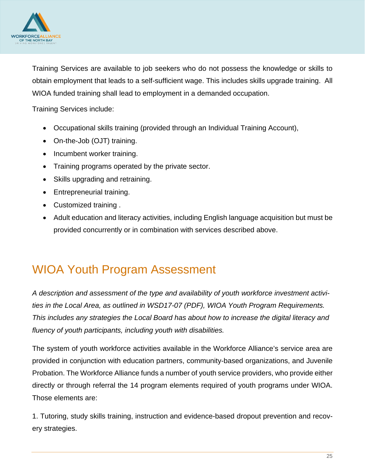

Training Services are available to job seekers who do not possess the knowledge or skills to obtain employment that leads to a self-sufficient wage. This includes skills upgrade training. All WIOA funded training shall lead to employment in a demanded occupation.

Training Services include:

- Occupational skills training (provided through an Individual Training Account),
- On-the-Job (OJT) training.
- Incumbent worker training.
- Training programs operated by the private sector.
- Skills upgrading and retraining.
- Entrepreneurial training.
- Customized training .
- Adult education and literacy activities, including English language acquisition but must be provided concurrently or in combination with services described above.

### <span id="page-24-0"></span>WIOA Youth Program Assessment

*A description and assessment of the type and availability of youth workforce investment activities in the Local Area, as outlined in WSD17-07 (PDF), WIOA Youth Program Requirements. This includes any strategies the Local Board has about how to increase the digital literacy and fluency of youth participants, including youth with disabilities.*

The system of youth workforce activities available in the Workforce Alliance's service area are provided in conjunction with education partners, community-based organizations, and Juvenile Probation. The Workforce Alliance funds a number of youth service providers, who provide either directly or through referral the 14 program elements required of youth programs under WIOA. Those elements are:

1. Tutoring, study skills training, instruction and evidence-based dropout prevention and recovery strategies.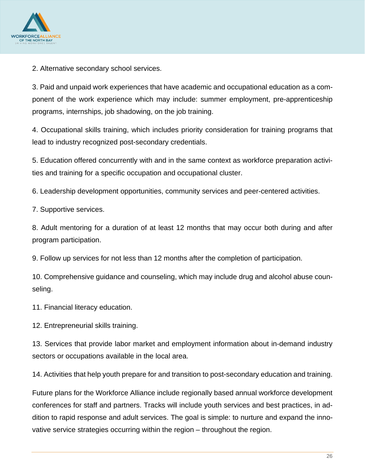

2. Alternative secondary school services.

3. Paid and unpaid work experiences that have academic and occupational education as a component of the work experience which may include: summer employment, pre-apprenticeship programs, internships, job shadowing, on the job training.

4. Occupational skills training, which includes priority consideration for training programs that lead to industry recognized post-secondary credentials.

5. Education offered concurrently with and in the same context as workforce preparation activities and training for a specific occupation and occupational cluster.

6. Leadership development opportunities, community services and peer-centered activities.

7. Supportive services.

8. Adult mentoring for a duration of at least 12 months that may occur both during and after program participation.

9. Follow up services for not less than 12 months after the completion of participation.

10. Comprehensive guidance and counseling, which may include drug and alcohol abuse counseling.

11. Financial literacy education.

12. Entrepreneurial skills training.

13. Services that provide labor market and employment information about in-demand industry sectors or occupations available in the local area.

14. Activities that help youth prepare for and transition to post-secondary education and training.

Future plans for the Workforce Alliance include regionally based annual workforce development conferences for staff and partners. Tracks will include youth services and best practices, in addition to rapid response and adult services. The goal is simple: to nurture and expand the innovative service strategies occurring within the region – throughout the region.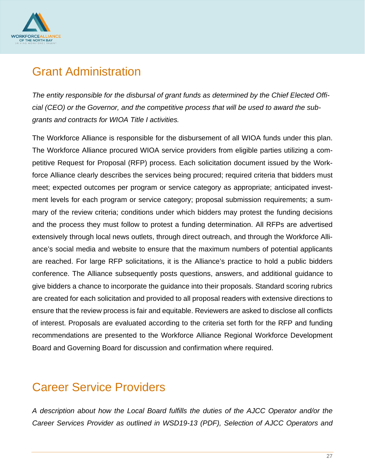

### <span id="page-26-0"></span>Grant Administration

*The entity responsible for the disbursal of grant funds as determined by the Chief Elected Official (CEO) or the Governor, and the competitive process that will be used to award the subgrants and contracts for WIOA Title I activities.*

The Workforce Alliance is responsible for the disbursement of all WIOA funds under this plan. The Workforce Alliance procured WIOA service providers from eligible parties utilizing a competitive Request for Proposal (RFP) process. Each solicitation document issued by the Workforce Alliance clearly describes the services being procured; required criteria that bidders must meet; expected outcomes per program or service category as appropriate; anticipated investment levels for each program or service category; proposal submission requirements; a summary of the review criteria; conditions under which bidders may protest the funding decisions and the process they must follow to protest a funding determination. All RFPs are advertised extensively through local news outlets, through direct outreach, and through the Workforce Alliance's social media and website to ensure that the maximum numbers of potential applicants are reached. For large RFP solicitations, it is the Alliance's practice to hold a public bidders conference. The Alliance subsequently posts questions, answers, and additional guidance to give bidders a chance to incorporate the guidance into their proposals. Standard scoring rubrics are created for each solicitation and provided to all proposal readers with extensive directions to ensure that the review process is fair and equitable. Reviewers are asked to disclose all conflicts of interest. Proposals are evaluated according to the criteria set forth for the RFP and funding recommendations are presented to the Workforce Alliance Regional Workforce Development Board and Governing Board for discussion and confirmation where required.

# <span id="page-26-1"></span>Career Service Providers

*A description about how the Local Board fulfills the duties of the AJCC Operator and/or the Career Services Provider as outlined in WSD19-13 (PDF), Selection of AJCC Operators and*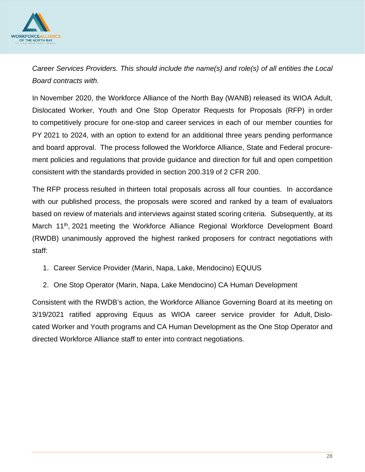

*Career Services Providers. This should include the name(s) and role(s) of all entities the Local Board contracts with.*

In November 2020, the Workforce Alliance of the North Bay (WANB) released its WIOA Adult, Dislocated Worker, Youth and One Stop Operator Requests for Proposals (RFP) in order to competitively procure for one-stop and career services in each of our member counties for PY 2021 to 2024, with an option to extend for an additional three years pending performance and board approval. The process followed the Workforce Alliance, State and Federal procurement policies and regulations that provide guidance and direction for full and open competition consistent with the standards provided in section 200.319 of 2 CFR 200.

The RFP process resulted in thirteen total proposals across all four counties. In accordance with our published process, the proposals were scored and ranked by a team of evaluators based on review of materials and interviews against stated scoring criteria. Subsequently, at its March 11<sup>th</sup>, 2021 meeting the Workforce Alliance Regional Workforce Development Board (RWDB) unanimously approved the highest ranked proposers for contract negotiations with staff:

- 1. Career Service Provider (Marin, Napa, Lake, Mendocino) EQUUS
- 2. One Stop Operator (Marin, Napa, Lake Mendocino) CA Human Development

Consistent with the RWDB's action, the Workforce Alliance Governing Board at its meeting on 3/19/2021 ratified approving Equus as WIOA career service provider for Adult, Dislocated Worker and Youth programs and CA Human Development as the One Stop Operator and directed Workforce Alliance staff to enter into contract negotiations.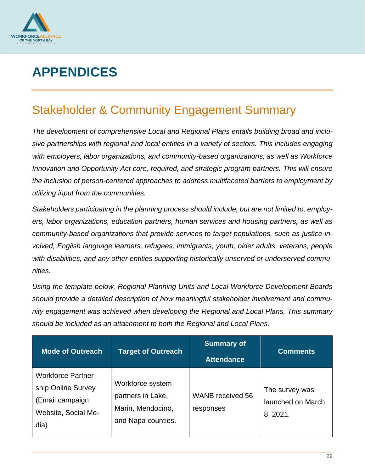

# <span id="page-28-0"></span>**APPENDICES**

# <span id="page-28-1"></span>Stakeholder & Community Engagement Summary

*The development of comprehensive Local and Regional Plans entails building broad and inclusive partnerships with regional and local entities in a variety of sectors. This includes engaging with employers, labor organizations, and community-based organizations, as well as Workforce Innovation and Opportunity Act core, required, and strategic program partners. This will ensure the inclusion of person-centered approaches to address multifaceted barriers to employment by utilizing input from the communities.*

*Stakeholders participating in the planning process should include, but are not limited to, employers, labor organizations, education partners, human services and housing partners, as well as community-based organizations that provide services to target populations, such as justice-involved, English language learners, refugees, immigrants, youth, older adults, veterans, people with disabilities, and any other entities supporting historically unserved or underserved communities.*

*Using the template below, Regional Planning Units and Local Workforce Development Boards should provide a detailed description of how meaningful stakeholder involvement and community engagement was achieved when developing the Regional and Local Plans. This summary should be included as an attachment to both the Regional and Local Plans.*

| <b>Mode of Outreach</b>                                                                            | <b>Target of Outreach</b>                                                        | <b>Summary of</b><br><b>Attendance</b> | <b>Comments</b>                                 |
|----------------------------------------------------------------------------------------------------|----------------------------------------------------------------------------------|----------------------------------------|-------------------------------------------------|
| <b>Workforce Partner-</b><br>ship Online Survey<br>(Email campaign,<br>Website, Social Me-<br>dia) | Workforce system<br>partners in Lake,<br>Marin, Mendocino,<br>and Napa counties. | WANB received 56<br>responses          | The survey was<br>launched on March<br>8, 2021. |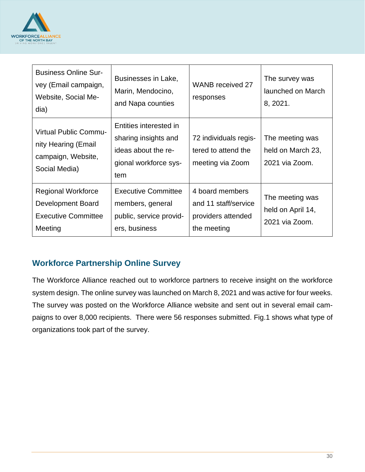

| <b>Business Online Sur-</b><br>vey (Email campaign,<br>Website, Social Me-<br>dia)         | Businesses in Lake,<br>Marin, Mendocino,<br>and Napa counties                                         | <b>WANB</b> received 27<br>responses                                         | The survey was<br>launched on March<br>8, 2021.        |
|--------------------------------------------------------------------------------------------|-------------------------------------------------------------------------------------------------------|------------------------------------------------------------------------------|--------------------------------------------------------|
| <b>Virtual Public Commu-</b><br>nity Hearing (Email<br>campaign, Website,<br>Social Media) | Entities interested in<br>sharing insights and<br>ideas about the re-<br>gional workforce sys-<br>tem | 72 individuals regis-<br>tered to attend the<br>meeting via Zoom             | The meeting was<br>held on March 23,<br>2021 via Zoom. |
| Regional Workforce<br>Development Board<br><b>Executive Committee</b><br>Meeting           | <b>Executive Committee</b><br>members, general<br>public, service provid-<br>ers, business            | 4 board members<br>and 11 staff/service<br>providers attended<br>the meeting | The meeting was<br>held on April 14,<br>2021 via Zoom. |

#### **Workforce Partnership Online Survey**

The Workforce Alliance reached out to workforce partners to receive insight on the workforce system design. The online survey was launched on March 8, 2021 and was active for four weeks. The survey was posted on the Workforce Alliance website and sent out in several email campaigns to over 8,000 recipients. There were 56 responses submitted. Fig.1 shows what type of organizations took part of the survey.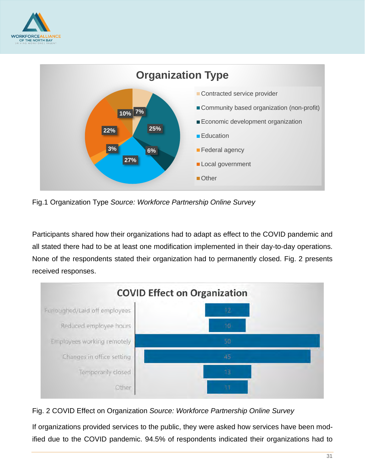



Fig.1 Organization Type *Source: Workforce Partnership Online Survey*

Participants shared how their organizations had to adapt as effect to the COVID pandemic and all stated there had to be at least one modification implemented in their day-to-day operations. None of the respondents stated their organization had to permanently closed. Fig. 2 presents received responses.



Fig. 2 COVID Effect on Organization *Source: Workforce Partnership Online Survey*

If organizations provided services to the public, they were asked how services have been modified due to the COVID pandemic. 94.5% of respondents indicated their organizations had to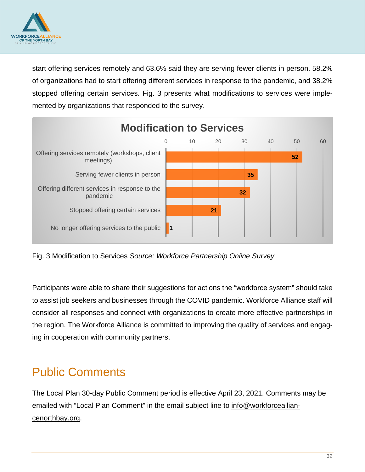

start offering services remotely and 63.6% said they are serving fewer clients in person. 58.2% of organizations had to start offering different services in response to the pandemic, and 38.2% stopped offering certain services. Fig. 3 presents what modifications to services were implemented by organizations that responded to the survey.



Fig. 3 Modification to Services *Source: Workforce Partnership Online Survey*

Participants were able to share their suggestions for actions the "workforce system" should take to assist job seekers and businesses through the COVID pandemic. Workforce Alliance staff will consider all responses and connect with organizations to create more effective partnerships in the region. The Workforce Alliance is committed to improving the quality of services and engaging in cooperation with community partners.

# <span id="page-31-0"></span>Public Comments

The Local Plan 30-day Public Comment period is effective April 23, 2021. Comments may be emailed with "Local Plan Comment" in the email subject line to [info@workforceallian](mailto:info@workforcealliancenorthbay.org)[cenorthbay.org.](mailto:info@workforcealliancenorthbay.org)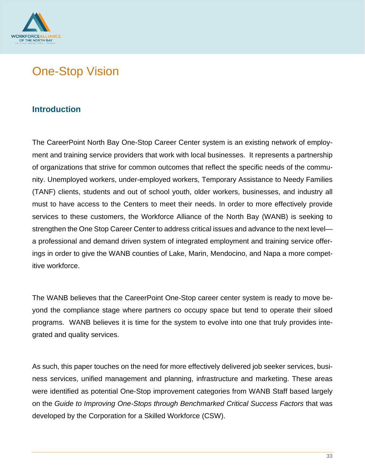

# <span id="page-32-0"></span>One-Stop Vision

#### **Introduction**

The CareerPoint North Bay One-Stop Career Center system is an existing network of employment and training service providers that work with local businesses. It represents a partnership of organizations that strive for common outcomes that reflect the specific needs of the community. Unemployed workers, under-employed workers, Temporary Assistance to Needy Families (TANF) clients, students and out of school youth, older workers, businesses, and industry all must to have access to the Centers to meet their needs. In order to more effectively provide services to these customers, the Workforce Alliance of the North Bay (WANB) is seeking to strengthen the One Stop Career Center to address critical issues and advance to the next level a professional and demand driven system of integrated employment and training service offerings in order to give the WANB counties of Lake, Marin, Mendocino, and Napa a more competitive workforce.

The WANB believes that the CareerPoint One-Stop career center system is ready to move beyond the compliance stage where partners co occupy space but tend to operate their siloed programs. WANB believes it is time for the system to evolve into one that truly provides integrated and quality services.

As such, this paper touches on the need for more effectively delivered job seeker services, business services, unified management and planning, infrastructure and marketing. These areas were identified as potential One-Stop improvement categories from WANB Staff based largely on the *Guide to Improving One-Stops through Benchmarked Critical Success Factors* that was developed by the Corporation for a Skilled Workforce (CSW).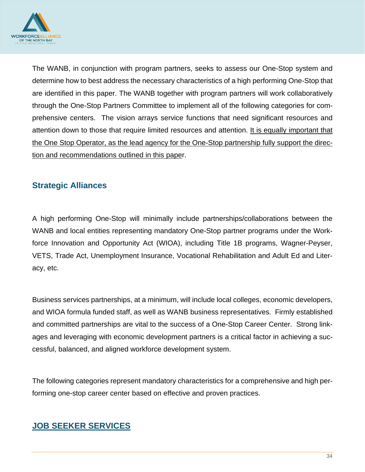

The WANB, in conjunction with program partners, seeks to assess our One-Stop system and determine how to best address the necessary characteristics of a high performing One-Stop that are identified in this paper. The WANB together with program partners will work collaboratively through the One-Stop Partners Committee to implement all of the following categories for comprehensive centers. The vision arrays service functions that need significant resources and attention down to those that require limited resources and attention. It is equally important that the One Stop Operator, as the lead agency for the One-Stop partnership fully support the direction and recommendations outlined in this paper.

#### **Strategic Alliances**

A high performing One-Stop will minimally include partnerships/collaborations between the WANB and local entities representing mandatory One-Stop partner programs under the Workforce Innovation and Opportunity Act (WIOA), including Title 1B programs, Wagner-Peyser, VETS, Trade Act, Unemployment Insurance, Vocational Rehabilitation and Adult Ed and Literacy, etc.

Business services partnerships, at a minimum, will include local colleges, economic developers, and WIOA formula funded staff, as well as WANB business representatives. Firmly established and committed partnerships are vital to the success of a One-Stop Career Center. Strong linkages and leveraging with economic development partners is a critical factor in achieving a successful, balanced, and aligned workforce development system.

The following categories represent mandatory characteristics for a comprehensive and high performing one-stop career center based on effective and proven practices.

#### **JOB SEEKER SERVICES**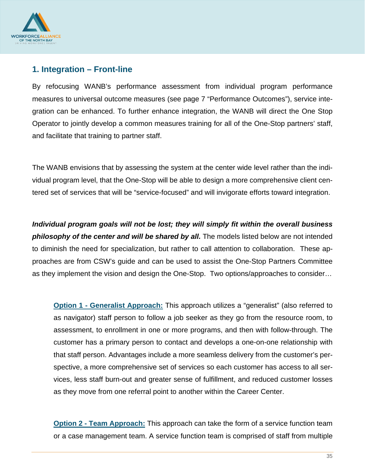

#### **1. Integration – Front-line**

By refocusing WANB's performance assessment from individual program performance measures to universal outcome measures (see page 7 "Performance Outcomes"), service integration can be enhanced. To further enhance integration, the WANB will direct the One Stop Operator to jointly develop a common measures training for all of the One-Stop partners' staff, and facilitate that training to partner staff.

The WANB envisions that by assessing the system at the center wide level rather than the individual program level, that the One-Stop will be able to design a more comprehensive client centered set of services that will be "service-focused" and will invigorate efforts toward integration.

*Individual program goals will not be lost; they will simply fit within the overall business philosophy of the center and will be shared by all.* The models listed below are not intended to diminish the need for specialization, but rather to call attention to collaboration. These approaches are from CSW's guide and can be used to assist the One-Stop Partners Committee as they implement the vision and design the One-Stop. Two options/approaches to consider…

**Option 1 - Generalist Approach:** This approach utilizes a "generalist" (also referred to as navigator) staff person to follow a job seeker as they go from the resource room, to assessment, to enrollment in one or more programs, and then with follow-through. The customer has a primary person to contact and develops a one-on-one relationship with that staff person. Advantages include a more seamless delivery from the customer's perspective, a more comprehensive set of services so each customer has access to all services, less staff burn-out and greater sense of fulfillment, and reduced customer losses as they move from one referral point to another within the Career Center.

**Option 2 - Team Approach:** This approach can take the form of a service function team or a case management team. A service function team is comprised of staff from multiple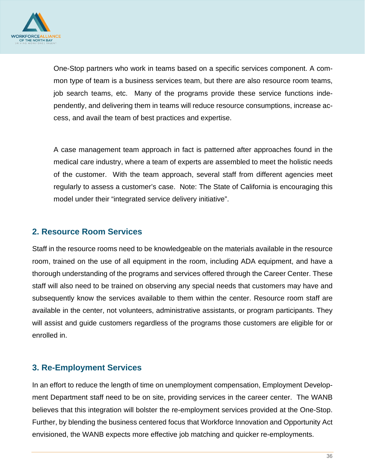

One-Stop partners who work in teams based on a specific services component. A common type of team is a business services team, but there are also resource room teams, job search teams, etc. Many of the programs provide these service functions independently, and delivering them in teams will reduce resource consumptions, increase access, and avail the team of best practices and expertise.

A case management team approach in fact is patterned after approaches found in the medical care industry, where a team of experts are assembled to meet the holistic needs of the customer. With the team approach, several staff from different agencies meet regularly to assess a customer's case. Note: The State of California is encouraging this model under their "integrated service delivery initiative".

#### **2. Resource Room Services**

Staff in the resource rooms need to be knowledgeable on the materials available in the resource room, trained on the use of all equipment in the room, including ADA equipment, and have a thorough understanding of the programs and services offered through the Career Center. These staff will also need to be trained on observing any special needs that customers may have and subsequently know the services available to them within the center. Resource room staff are available in the center, not volunteers, administrative assistants, or program participants. They will assist and guide customers regardless of the programs those customers are eligible for or enrolled in.

#### **3. Re-Employment Services**

In an effort to reduce the length of time on unemployment compensation, Employment Development Department staff need to be on site, providing services in the career center. The WANB believes that this integration will bolster the re-employment services provided at the One-Stop. Further, by blending the business centered focus that Workforce Innovation and Opportunity Act envisioned, the WANB expects more effective job matching and quicker re-employments.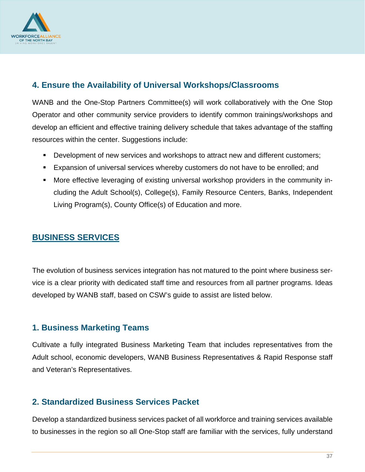

#### **4. Ensure the Availability of Universal Workshops/Classrooms**

WANB and the One-Stop Partners Committee(s) will work collaboratively with the One Stop Operator and other community service providers to identify common trainings/workshops and develop an efficient and effective training delivery schedule that takes advantage of the staffing resources within the center. Suggestions include:

- Development of new services and workshops to attract new and different customers;
- **Expansion of universal services whereby customers do not have to be enrolled; and**
- More effective leveraging of existing universal workshop providers in the community including the Adult School(s), College(s), Family Resource Centers, Banks, Independent Living Program(s), County Office(s) of Education and more.

#### **BUSINESS SERVICES**

The evolution of business services integration has not matured to the point where business service is a clear priority with dedicated staff time and resources from all partner programs. Ideas developed by WANB staff, based on CSW's guide to assist are listed below.

#### **1. Business Marketing Teams**

Cultivate a fully integrated Business Marketing Team that includes representatives from the Adult school, economic developers, WANB Business Representatives & Rapid Response staff and Veteran's Representatives.

#### **2. Standardized Business Services Packet**

Develop a standardized business services packet of all workforce and training services available to businesses in the region so all One-Stop staff are familiar with the services, fully understand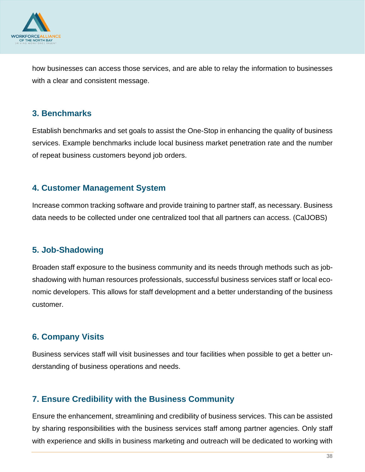

how businesses can access those services, and are able to relay the information to businesses with a clear and consistent message.

#### **3. Benchmarks**

Establish benchmarks and set goals to assist the One-Stop in enhancing the quality of business services. Example benchmarks include local business market penetration rate and the number of repeat business customers beyond job orders.

#### **4. Customer Management System**

Increase common tracking software and provide training to partner staff, as necessary. Business data needs to be collected under one centralized tool that all partners can access. (CalJOBS)

#### **5. Job-Shadowing**

Broaden staff exposure to the business community and its needs through methods such as jobshadowing with human resources professionals, successful business services staff or local economic developers. This allows for staff development and a better understanding of the business customer.

#### **6. Company Visits**

Business services staff will visit businesses and tour facilities when possible to get a better understanding of business operations and needs.

#### **7. Ensure Credibility with the Business Community**

Ensure the enhancement, streamlining and credibility of business services. This can be assisted by sharing responsibilities with the business services staff among partner agencies. Only staff with experience and skills in business marketing and outreach will be dedicated to working with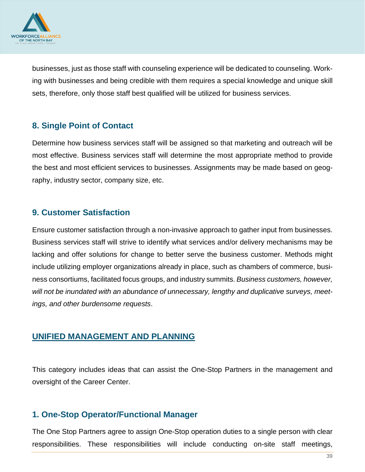

businesses, just as those staff with counseling experience will be dedicated to counseling. Working with businesses and being credible with them requires a special knowledge and unique skill sets, therefore, only those staff best qualified will be utilized for business services.

#### **8. Single Point of Contact**

Determine how business services staff will be assigned so that marketing and outreach will be most effective. Business services staff will determine the most appropriate method to provide the best and most efficient services to businesses. Assignments may be made based on geography, industry sector, company size, etc.

#### **9. Customer Satisfaction**

Ensure customer satisfaction through a non-invasive approach to gather input from businesses. Business services staff will strive to identify what services and/or delivery mechanisms may be lacking and offer solutions for change to better serve the business customer. Methods might include utilizing employer organizations already in place, such as chambers of commerce, business consortiums, facilitated focus groups, and industry summits. *Business customers, however, will not be inundated with an abundance of unnecessary, lengthy and duplicative surveys, meetings, and other burdensome requests*.

#### **UNIFIED MANAGEMENT AND PLANNING**

This category includes ideas that can assist the One-Stop Partners in the management and oversight of the Career Center.

#### **1. One-Stop Operator/Functional Manager**

The One Stop Partners agree to assign One-Stop operation duties to a single person with clear responsibilities. These responsibilities will include conducting on-site staff meetings,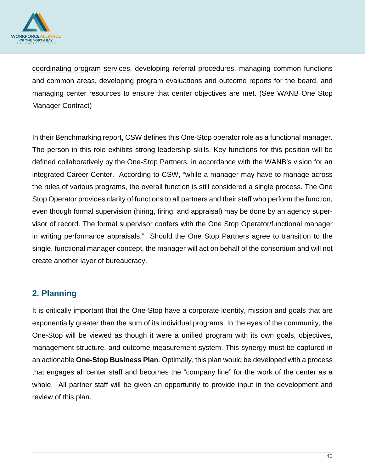

coordinating program services, developing referral procedures, managing common functions and common areas, developing program evaluations and outcome reports for the board, and managing center resources to ensure that center objectives are met. (See WANB One Stop Manager Contract)

In their Benchmarking report, CSW defines this One-Stop operator role as a functional manager. The person in this role exhibits strong leadership skills. Key functions for this position will be defined collaboratively by the One-Stop Partners, in accordance with the WANB's vision for an integrated Career Center. According to CSW, "while a manager may have to manage across the rules of various programs, the overall function is still considered a single process. The One Stop Operator provides clarity of functions to all partners and their staff who perform the function, even though formal supervision (hiring, firing, and appraisal) may be done by an agency supervisor of record. The formal supervisor confers with the One Stop Operator/functional manager in writing performance appraisals." Should the One Stop Partners agree to transition to the single, functional manager concept, the manager will act on behalf of the consortium and will not create another layer of bureaucracy.

#### **2. Planning**

It is critically important that the One-Stop have a corporate identity, mission and goals that are exponentially greater than the sum of its individual programs. In the eyes of the community, the One-Stop will be viewed as though it were a unified program with its own goals, objectives, management structure, and outcome measurement system. This synergy must be captured in an actionable **One-Stop Business Plan**. Optimally, this plan would be developed with a process that engages all center staff and becomes the "company line" for the work of the center as a whole. All partner staff will be given an opportunity to provide input in the development and review of this plan.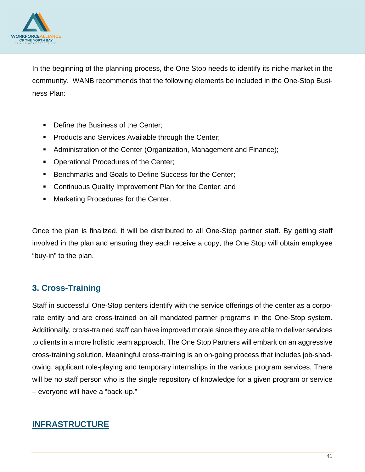

In the beginning of the planning process, the One Stop needs to identify its niche market in the community. WANB recommends that the following elements be included in the One-Stop Business Plan:

- **Define the Business of the Center;**
- **Products and Services Available through the Center;**
- **Administration of the Center (Organization, Management and Finance);**
- **Operational Procedures of the Center;**
- Benchmarks and Goals to Define Success for the Center;
- Continuous Quality Improvement Plan for the Center; and
- Marketing Procedures for the Center.

Once the plan is finalized, it will be distributed to all One-Stop partner staff. By getting staff involved in the plan and ensuring they each receive a copy, the One Stop will obtain employee "buy-in" to the plan.

#### **3. Cross-Training**

Staff in successful One-Stop centers identify with the service offerings of the center as a corporate entity and are cross-trained on all mandated partner programs in the One-Stop system. Additionally, cross-trained staff can have improved morale since they are able to deliver services to clients in a more holistic team approach. The One Stop Partners will embark on an aggressive cross-training solution. Meaningful cross-training is an on-going process that includes job-shadowing, applicant role-playing and temporary internships in the various program services. There will be no staff person who is the single repository of knowledge for a given program or service – everyone will have a "back-up."

#### **INFRASTRUCTURE**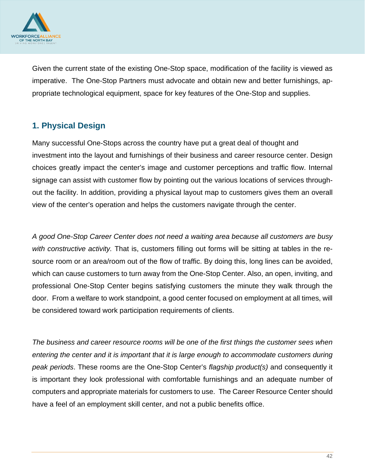

Given the current state of the existing One-Stop space, modification of the facility is viewed as imperative. The One-Stop Partners must advocate and obtain new and better furnishings, appropriate technological equipment, space for key features of the One-Stop and supplies.

#### **1. Physical Design**

Many successful One-Stops across the country have put a great deal of thought and investment into the layout and furnishings of their business and career resource center. Design choices greatly impact the center's image and customer perceptions and traffic flow. Internal signage can assist with customer flow by pointing out the various locations of services throughout the facility. In addition, providing a physical layout map to customers gives them an overall view of the center's operation and helps the customers navigate through the center.

*A good One-Stop Career Center does not need a waiting area because all customers are busy with constructive activity.* That is, customers filling out forms will be sitting at tables in the resource room or an area/room out of the flow of traffic. By doing this, long lines can be avoided, which can cause customers to turn away from the One-Stop Center. Also, an open, inviting, and professional One-Stop Center begins satisfying customers the minute they walk through the door. From a welfare to work standpoint, a good center focused on employment at all times, will be considered toward work participation requirements of clients.

*The business and career resource rooms will be one of the first things the customer sees when entering the center and it is important that it is large enough to accommodate customers during peak periods*. These rooms are the One-Stop Center's *flagship product(s)* and consequently it is important they look professional with comfortable furnishings and an adequate number of computers and appropriate materials for customers to use. The Career Resource Center should have a feel of an employment skill center, and not a public benefits office.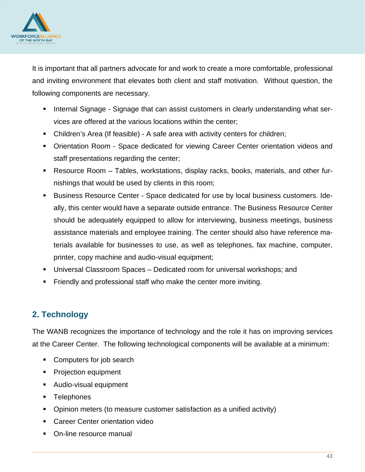

It is important that all partners advocate for and work to create a more comfortable, professional and inviting environment that elevates both client and staff motivation. Without question, the following components are necessary.

- Internal Signage Signage that can assist customers in clearly understanding what services are offered at the various locations within the center;
- Children's Area (If feasible) A safe area with activity centers for children;
- Orientation Room Space dedicated for viewing Career Center orientation videos and staff presentations regarding the center;
- Resource Room Tables, workstations, display racks, books, materials, and other furnishings that would be used by clients in this room;
- Business Resource Center Space dedicated for use by local business customers. Ideally, this center would have a separate outside entrance. The Business Resource Center should be adequately equipped to allow for interviewing, business meetings, business assistance materials and employee training. The center should also have reference materials available for businesses to use, as well as telephones, fax machine, computer, printer, copy machine and audio-visual equipment;
- Universal Classroom Spaces Dedicated room for universal workshops; and
- **Firmally and professional staff who make the center more inviting.**

#### **2. Technology**

The WANB recognizes the importance of technology and the role it has on improving services at the Career Center. The following technological components will be available at a minimum:

- Computers for job search
- **Projection equipment**
- Audio-visual equipment
- **Telephones**
- Opinion meters (to measure customer satisfaction as a unified activity)
- Career Center orientation video
- On-line resource manual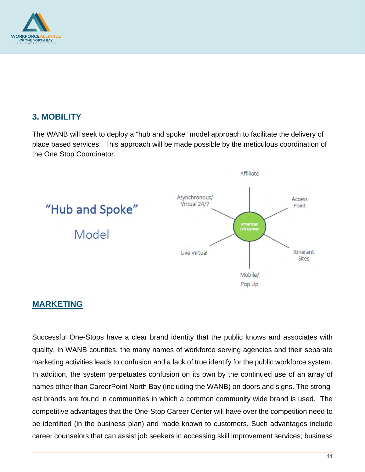

#### **3. MOBILITY**

The WANB will seek to deploy a "hub and spoke" model approach to facilitate the delivery of place based services. This approach will be made possible by the meticulous coordination of the One Stop Coordinator.



#### **MARKETING**

Successful One-Stops have a clear brand identity that the public knows and associates with quality. In WANB counties, the many names of workforce serving agencies and their separate marketing activities leads to confusion and a lack of true identify for the public workforce system. In addition, the system perpetuates confusion on its own by the continued use of an array of names other than CareerPoint North Bay (including the WANB) on doors and signs. The strongest brands are found in communities in which a common community wide brand is used. The competitive advantages that the One-Stop Career Center will have over the competition need to be identified (in the business plan) and made known to customers. Such advantages include career counselors that can assist job seekers in accessing skill improvement services; business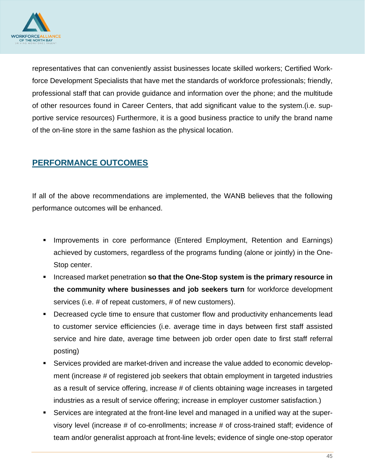

representatives that can conveniently assist businesses locate skilled workers; Certified Workforce Development Specialists that have met the standards of workforce professionals; friendly, professional staff that can provide guidance and information over the phone; and the multitude of other resources found in Career Centers, that add significant value to the system.(i.e. supportive service resources) Furthermore, it is a good business practice to unify the brand name of the on-line store in the same fashion as the physical location.

#### **PERFORMANCE OUTCOMES**

If all of the above recommendations are implemented, the WANB believes that the following performance outcomes will be enhanced.

- Improvements in core performance (Entered Employment, Retention and Earnings) achieved by customers, regardless of the programs funding (alone or jointly) in the One-Stop center.
- Increased market penetration **so that the One-Stop system is the primary resource in the community where businesses and job seekers turn** for workforce development services (i.e. # of repeat customers, # of new customers).
- Decreased cycle time to ensure that customer flow and productivity enhancements lead to customer service efficiencies (i.e. average time in days between first staff assisted service and hire date, average time between job order open date to first staff referral posting)
- Services provided are market-driven and increase the value added to economic development (increase # of registered job seekers that obtain employment in targeted industries as a result of service offering, increase # of clients obtaining wage increases in targeted industries as a result of service offering; increase in employer customer satisfaction.)
- Services are integrated at the front-line level and managed in a unified way at the supervisory level (increase # of co-enrollments; increase # of cross-trained staff; evidence of team and/or generalist approach at front-line levels; evidence of single one-stop operator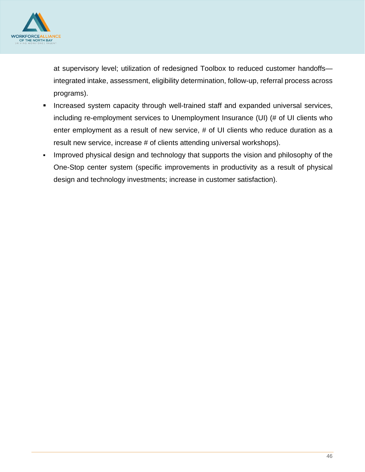

at supervisory level; utilization of redesigned Toolbox to reduced customer handoffs integrated intake, assessment, eligibility determination, follow-up, referral process across programs).

- Increased system capacity through well-trained staff and expanded universal services, including re-employment services to Unemployment Insurance (UI) (# of UI clients who enter employment as a result of new service, # of UI clients who reduce duration as a result new service, increase # of clients attending universal workshops).
- Improved physical design and technology that supports the vision and philosophy of the One-Stop center system (specific improvements in productivity as a result of physical design and technology investments; increase in customer satisfaction).